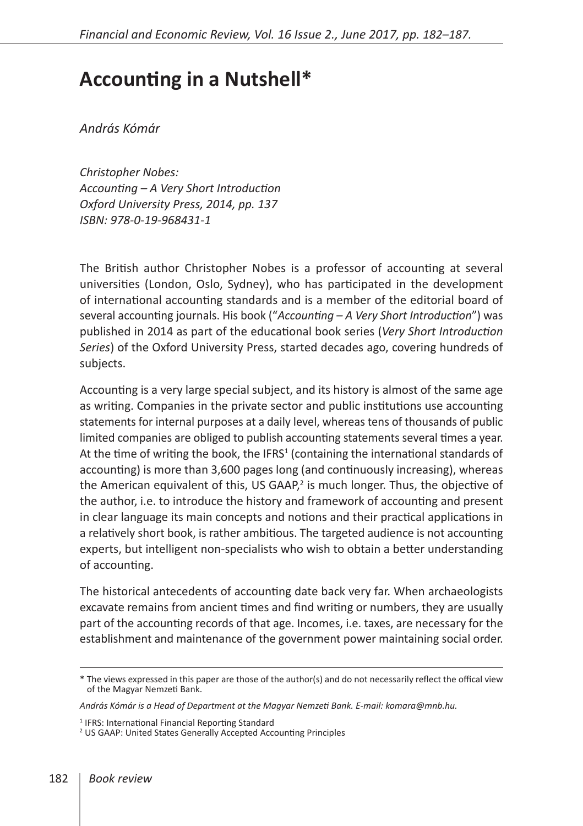## **Accounting in a Nutshell\***

*András Kómár*

*Christopher Nobes: Accounting – A Very Short Introduction Oxford University Press, 2014, pp. 137 ISBN: 978-0-19-968431-1*

The British author Christopher Nobes is a professor of accounting at several universities (London, Oslo, Sydney), who has participated in the development of international accounting standards and is a member of the editorial board of several accounting journals. His book ("*Accounting – A Very Short Introduction*") was published in 2014 as part of the educational book series (*Very Short Introduction Series*) of the Oxford University Press, started decades ago, covering hundreds of subjects.

Accounting is a very large special subject, and its history is almost of the same age as writing. Companies in the private sector and public institutions use accounting statements for internal purposes at a daily level, whereas tens of thousands of public limited companies are obliged to publish accounting statements several times a year. At the time of writing the book, the IFRS<sup>1</sup> (containing the international standards of accounting) is more than 3,600 pages long (and continuously increasing), whereas the American equivalent of this, US GAAP, $^2$  is much longer. Thus, the objective of the author, i.e. to introduce the history and framework of accounting and present in clear language its main concepts and notions and their practical applications in a relatively short book, is rather ambitious. The targeted audience is not accounting experts, but intelligent non-specialists who wish to obtain a better understanding of accounting.

The historical antecedents of accounting date back very far. When archaeologists excavate remains from ancient times and find writing or numbers, they are usually part of the accounting records of that age. Incomes, i.e. taxes, are necessary for the establishment and maintenance of the government power maintaining social order.

<sup>\*</sup> The views expressed in this paper are those of the author(s) and do not necessarily reflect the offical view of the Magyar Nemzeti Bank.

*András Kómár is a Head of Department at the Magyar Nemzeti Bank. E-mail: komara@mnb.hu.*

<sup>&</sup>lt;sup>1</sup> IFRS: International Financial Reporting Standard

<sup>2</sup> US GAAP: United States Generally Accepted Accounting Principles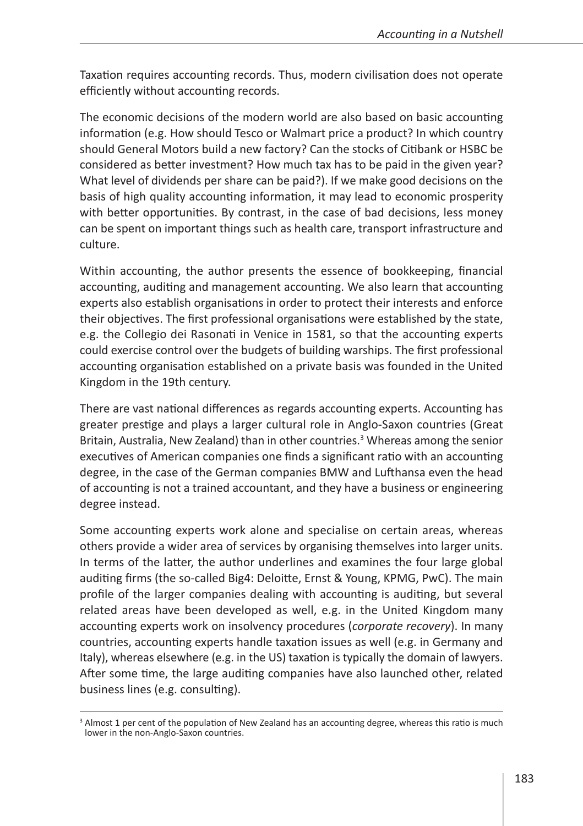Taxation requires accounting records. Thus, modern civilisation does not operate efficiently without accounting records.

The economic decisions of the modern world are also based on basic accounting information (e.g. How should Tesco or Walmart price a product? In which country should General Motors build a new factory? Can the stocks of Citibank or HSBC be considered as better investment? How much tax has to be paid in the given year? What level of dividends per share can be paid?). If we make good decisions on the basis of high quality accounting information, it may lead to economic prosperity with better opportunities. By contrast, in the case of bad decisions, less money can be spent on important things such as health care, transport infrastructure and culture.

Within accounting, the author presents the essence of bookkeeping, financial accounting, auditing and management accounting. We also learn that accounting experts also establish organisations in order to protect their interests and enforce their objectives. The first professional organisations were established by the state, e.g. the Collegio dei Rasonati in Venice in 1581, so that the accounting experts could exercise control over the budgets of building warships. The first professional accounting organisation established on a private basis was founded in the United Kingdom in the 19th century.

There are vast national differences as regards accounting experts. Accounting has greater prestige and plays a larger cultural role in Anglo-Saxon countries (Great Britain, Australia, New Zealand) than in other countries.<sup>3</sup> Whereas among the senior executives of American companies one finds a significant ratio with an accounting degree, in the case of the German companies BMW and Lufthansa even the head of accounting is not a trained accountant, and they have a business or engineering degree instead.

Some accounting experts work alone and specialise on certain areas, whereas others provide a wider area of services by organising themselves into larger units. In terms of the latter, the author underlines and examines the four large global auditing firms (the so-called Big4: Deloitte, Ernst & Young, KPMG, PwC). The main profile of the larger companies dealing with accounting is auditing, but several related areas have been developed as well, e.g. in the United Kingdom many accounting experts work on insolvency procedures (*corporate recovery*). In many countries, accounting experts handle taxation issues as well (e.g. in Germany and Italy), whereas elsewhere (e.g. in the US) taxation is typically the domain of lawyers. After some time, the large auditing companies have also launched other, related business lines (e.g. consulting).

<sup>&</sup>lt;sup>3</sup> Almost 1 per cent of the population of New Zealand has an accounting degree, whereas this ratio is much lower in the non-Anglo-Saxon countries.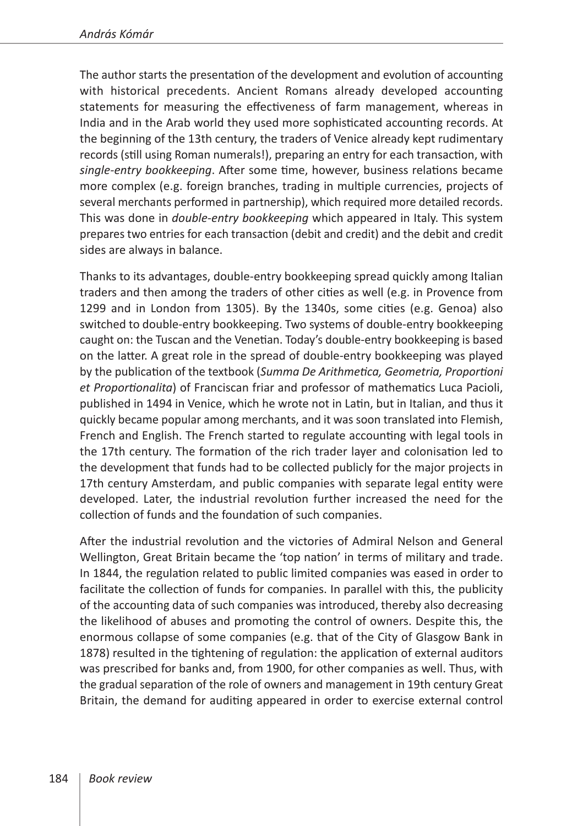The author starts the presentation of the development and evolution of accounting with historical precedents. Ancient Romans already developed accounting statements for measuring the effectiveness of farm management, whereas in India and in the Arab world they used more sophisticated accounting records. At the beginning of the 13th century, the traders of Venice already kept rudimentary records (still using Roman numerals!), preparing an entry for each transaction, with *single-entry bookkeeping*. After some time, however, business relations became more complex (e.g. foreign branches, trading in multiple currencies, projects of several merchants performed in partnership), which required more detailed records. This was done in *double-entry bookkeeping* which appeared in Italy. This system prepares two entries for each transaction (debit and credit) and the debit and credit sides are always in balance.

Thanks to its advantages, double-entry bookkeeping spread quickly among Italian traders and then among the traders of other cities as well (e.g. in Provence from 1299 and in London from 1305). By the 1340s, some cities (e.g. Genoa) also switched to double-entry bookkeeping. Two systems of double-entry bookkeeping caught on: the Tuscan and the Venetian. Today's double-entry bookkeeping is based on the latter. A great role in the spread of double-entry bookkeeping was played by the publication of the textbook (*Summa De Arithmetica, Geometria, Proportioni et Proportionalita*) of Franciscan friar and professor of mathematics Luca Pacioli, published in 1494 in Venice, which he wrote not in Latin, but in Italian, and thus it quickly became popular among merchants, and it was soon translated into Flemish, French and English. The French started to regulate accounting with legal tools in the 17th century. The formation of the rich trader layer and colonisation led to the development that funds had to be collected publicly for the major projects in 17th century Amsterdam, and public companies with separate legal entity were developed. Later, the industrial revolution further increased the need for the collection of funds and the foundation of such companies.

After the industrial revolution and the victories of Admiral Nelson and General Wellington, Great Britain became the 'top nation' in terms of military and trade. In 1844, the regulation related to public limited companies was eased in order to facilitate the collection of funds for companies. In parallel with this, the publicity of the accounting data of such companies was introduced, thereby also decreasing the likelihood of abuses and promoting the control of owners. Despite this, the enormous collapse of some companies (e.g. that of the City of Glasgow Bank in 1878) resulted in the tightening of regulation: the application of external auditors was prescribed for banks and, from 1900, for other companies as well. Thus, with the gradual separation of the role of owners and management in 19th century Great Britain, the demand for auditing appeared in order to exercise external control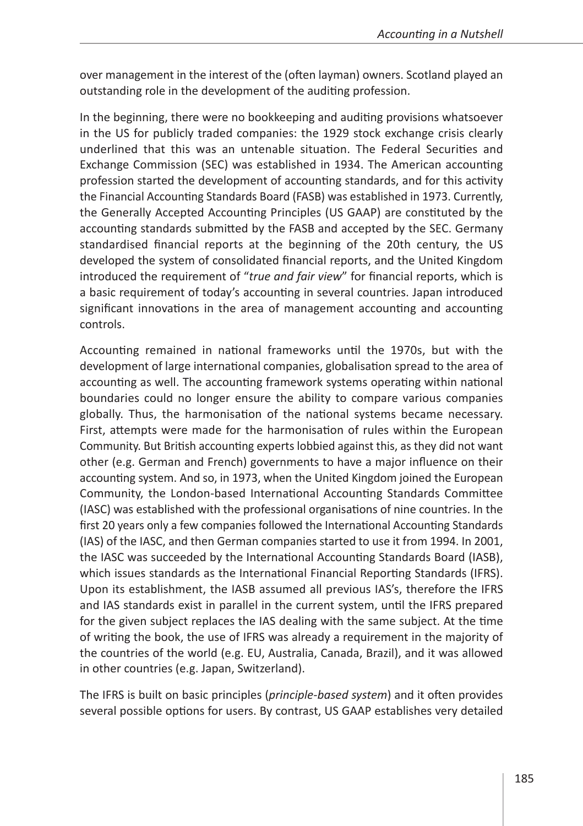over management in the interest of the (often layman) owners. Scotland played an outstanding role in the development of the auditing profession.

In the beginning, there were no bookkeeping and auditing provisions whatsoever in the US for publicly traded companies: the 1929 stock exchange crisis clearly underlined that this was an untenable situation. The Federal Securities and Exchange Commission (SEC) was established in 1934. The American accounting profession started the development of accounting standards, and for this activity the Financial Accounting Standards Board (FASB) was established in 1973. Currently, the Generally Accepted Accounting Principles (US GAAP) are constituted by the accounting standards submitted by the FASB and accepted by the SEC. Germany standardised financial reports at the beginning of the 20th century, the US developed the system of consolidated financial reports, and the United Kingdom introduced the requirement of "*true and fair view*" for financial reports, which is a basic requirement of today's accounting in several countries. Japan introduced significant innovations in the area of management accounting and accounting controls.

Accounting remained in national frameworks until the 1970s, but with the development of large international companies, globalisation spread to the area of accounting as well. The accounting framework systems operating within national boundaries could no longer ensure the ability to compare various companies globally. Thus, the harmonisation of the national systems became necessary. First, attempts were made for the harmonisation of rules within the European Community. But British accounting experts lobbied against this, as they did not want other (e.g. German and French) governments to have a major influence on their accounting system. And so, in 1973, when the United Kingdom joined the European Community, the London-based International Accounting Standards Committee (IASC) was established with the professional organisations of nine countries. In the first 20 years only a few companies followed the International Accounting Standards (IAS) of the IASC, and then German companies started to use it from 1994. In 2001, the IASC was succeeded by the International Accounting Standards Board (IASB), which issues standards as the International Financial Reporting Standards (IFRS). Upon its establishment, the IASB assumed all previous IAS's, therefore the IFRS and IAS standards exist in parallel in the current system, until the IFRS prepared for the given subject replaces the IAS dealing with the same subject. At the time of writing the book, the use of IFRS was already a requirement in the majority of the countries of the world (e.g. EU, Australia, Canada, Brazil), and it was allowed in other countries (e.g. Japan, Switzerland).

The IFRS is built on basic principles (*principle-based system*) and it often provides several possible options for users. By contrast, US GAAP establishes very detailed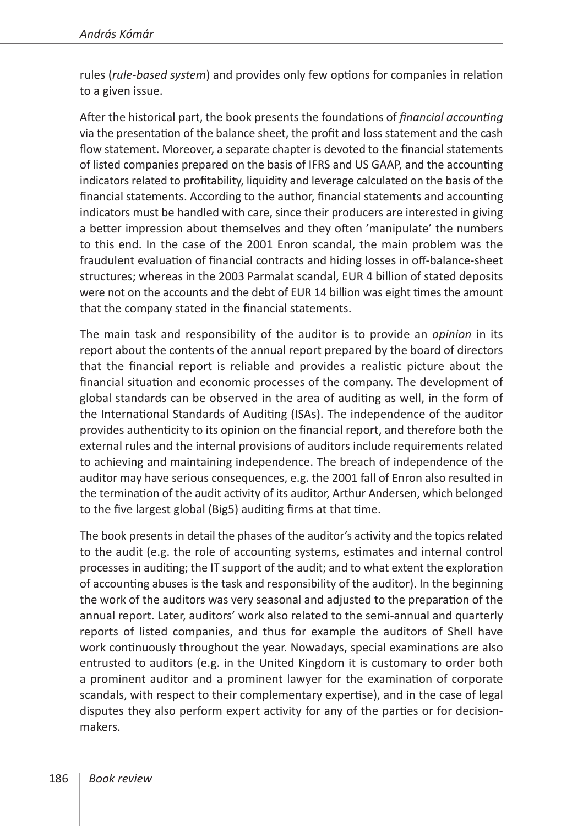rules (*rule-based system*) and provides only few options for companies in relation to a given issue.

After the historical part, the book presents the foundations of *financial accounting* via the presentation of the balance sheet, the profit and loss statement and the cash flow statement. Moreover, a separate chapter is devoted to the financial statements of listed companies prepared on the basis of IFRS and US GAAP, and the accounting indicators related to profitability, liquidity and leverage calculated on the basis of the financial statements. According to the author, financial statements and accounting indicators must be handled with care, since their producers are interested in giving a better impression about themselves and they often 'manipulate' the numbers to this end. In the case of the 2001 Enron scandal, the main problem was the fraudulent evaluation of financial contracts and hiding losses in off-balance-sheet structures; whereas in the 2003 Parmalat scandal, EUR 4 billion of stated deposits were not on the accounts and the debt of EUR 14 billion was eight times the amount that the company stated in the financial statements.

The main task and responsibility of the auditor is to provide an *opinion* in its report about the contents of the annual report prepared by the board of directors that the financial report is reliable and provides a realistic picture about the financial situation and economic processes of the company. The development of global standards can be observed in the area of auditing as well, in the form of the International Standards of Auditing (ISAs). The independence of the auditor provides authenticity to its opinion on the financial report, and therefore both the external rules and the internal provisions of auditors include requirements related to achieving and maintaining independence. The breach of independence of the auditor may have serious consequences, e.g. the 2001 fall of Enron also resulted in the termination of the audit activity of its auditor, Arthur Andersen, which belonged to the five largest global (Big5) auditing firms at that time.

The book presents in detail the phases of the auditor's activity and the topics related to the audit (e.g. the role of accounting systems, estimates and internal control processes in auditing; the IT support of the audit; and to what extent the exploration of accounting abuses is the task and responsibility of the auditor). In the beginning the work of the auditors was very seasonal and adjusted to the preparation of the annual report. Later, auditors' work also related to the semi-annual and quarterly reports of listed companies, and thus for example the auditors of Shell have work continuously throughout the year. Nowadays, special examinations are also entrusted to auditors (e.g. in the United Kingdom it is customary to order both a prominent auditor and a prominent lawyer for the examination of corporate scandals, with respect to their complementary expertise), and in the case of legal disputes they also perform expert activity for any of the parties or for decisionmakers.